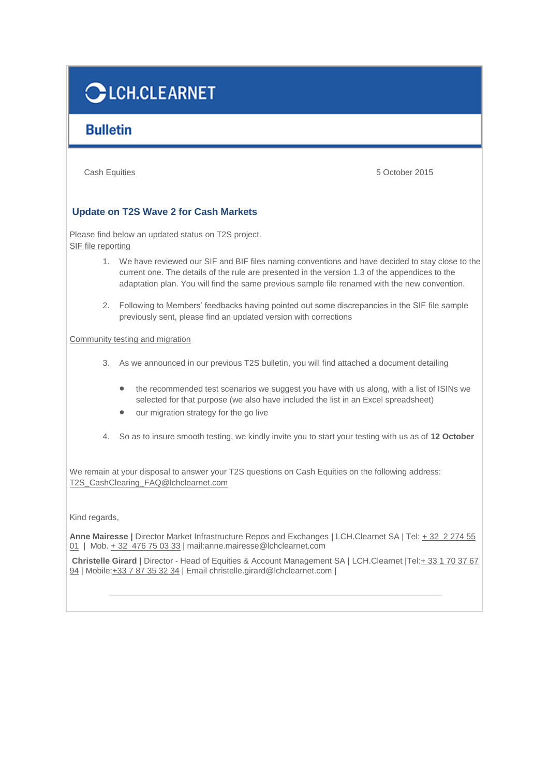## **CLCH.CLEARNET**

## **Bulletin**

Cash Equities 5 October 2015

## **Update on T2S Wave 2 for Cash Markets**

Please find below an updated status on T2S project. SIF file reporting

- 1. We have reviewed our SIF and BIF files naming conventions and have decided to stay close to the current one. The details of the rule are presented in the version 1.3 of the appendices to the adaptation plan. You will find the same previous sample file renamed with the new convention.
- 2. Following to Members' feedbacks having pointed out some discrepancies in the SIF file sample previously sent, please find an updated version with corrections

Community testing and migration

- 3. As we announced in our previous T2S bulletin, you will find attached a document detailing
	- the recommended test scenarios we suggest you have with us along, with a list of ISINs we selected for that purpose (we also have included the list in an Excel spreadsheet)
	- our migration strategy for the go live
- 4. So as to insure smooth testing, we kindly invite you to start your testing with us as of **12 October**

We remain at your disposal to answer your T2S questions on Cash Equities on the following address: [T2S\\_CashClearing\\_FAQ@lchclearnet.com](mailto:T2S_CashClearing_FAQ@lchclearnet.com)

Kind regards,

**Anne Mairesse |** Director Market Infrastructure Repos and Exchanges **|** LCH.Clearnet SA | Tel: [+ 32 2 274 55](tel:%2B%2032%20%C2%A02%20274%2055%2001)  [01](tel:%2B%2032%20%C2%A02%20274%2055%2001) | Mob. [+ 32 476 75 03 33](tel:%2B%2032%20%C2%A0476%2075%2003%2033) | mail[:anne.mairesse@lchclearnet.com](mailto:anne.mairesse@lchclearnet.com)

**Christelle Girard |** Director - Head of Equities & Account Management SA | LCH.Clearnet |Tel[:+ 33 1 70 37 67](tel:%2B%2033%201%2070%2037%2067%2094)  [94](tel:%2B%2033%201%2070%2037%2067%2094) | Mobile[:+33 7 87 35 32 34](tel:%2B33%207%2087%2035%2032%2034) | Email [christelle.girard@lchclearnet.com](mailto:christelle.girard@lchclearnet.com) |